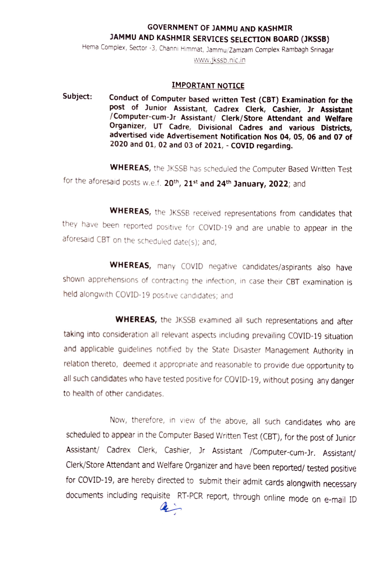## GOVERNMENT OF JAMMU AND KASHMIR JAMMU AND KASHMIR SERVICES SELECTION BOARD (JKSSB)

Hema Complex, Sector -3, Channi Himmat, Jammu/Zamzam Complex Rambagh Srinagar

www.jksb.nic.in

## IMPORTANT NOTICE

Subject: Conduct of Computer based written Test (CBT) Examination for the post of Junior Assistant, Cadrex Clerk, Cashier, Jr Assistant /Computer-cum-Jr Assistant/ Clerk/Store Attendant and Welfare Organizer, UT Cadre, Divisional Cadres and various Districts, advertised vide Advertisement Notification Nos 04, 05, 06 and 07 of 2020 and 01, 02 and 03 of 2021, COVID regarding.

WHEREAS, the JKSSB has scheduled the Computer Based Written Test for the aforesaid posts w.e.f. 20<sup>th</sup>, 21<sup>st</sup> and 24<sup>th</sup> January, 2022; and

WHEREAS, the JKSSB received representations from candidates that they have been reported positive for COVID-19 and are unable to appear in the aforesaid CBT on the scheduled date(s); and,

WHEREAS, many COVID negative candidates/aspirants also have shown apprehensions of contracting the infection, in case their CBT examination is held alongwith COVID-19 positive candidates; and

WHEREAS, the JKSSB examined all such representations and after taking into consideration all relevant aspects including prevaling COVID-19 situation and applicable guidelines notified by the State Disaster Management Authority in relation thereto, deemed it appropriate and reasonable to provide due opportunity to all such candidates who have tested positive for COVID-19, without posing any danger to health of other candidates.

Now, therefore, in view of the above, all such candidates who are scheduled to appear in the Computer Based Written Test (CBT), for the post of Junior Assistant/ Cadrex Clerk, Cashier, Jr Assistant /Computer-cum-Jr. Assistant/ Clerk/Store Attendant and Welfare Organizer and have been reported/ tested positive for COVID-19, are hereby directed to submit their admit cards alongwith necessary documents including requisite RT-PCR report, through online mode on e-mail ID